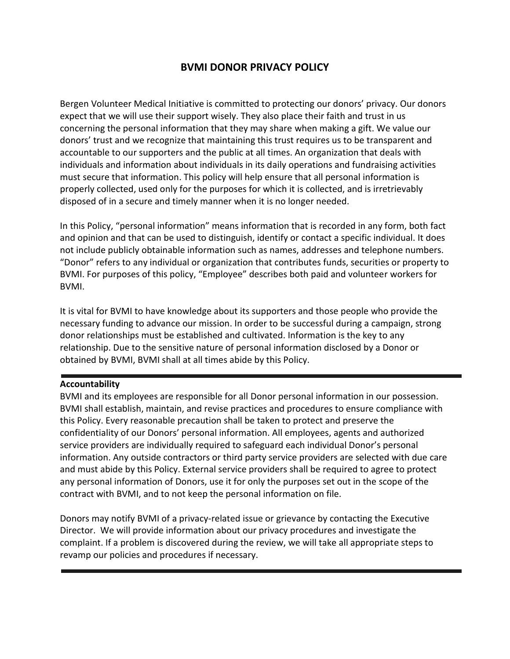# **BVMI DONOR PRIVACY POLICY**

Bergen Volunteer Medical Initiative is committed to protecting our donors' privacy. Our donors expect that we will use their support wisely. They also place their faith and trust in us concerning the personal information that they may share when making a gift. We value our donors' trust and we recognize that maintaining this trust requires us to be transparent and accountable to our supporters and the public at all times. An organization that deals with individuals and information about individuals in its daily operations and fundraising activities must secure that information. This policy will help ensure that all personal information is properly collected, used only for the purposes for which it is collected, and is irretrievably disposed of in a secure and timely manner when it is no longer needed.

In this Policy, "personal information" means information that is recorded in any form, both fact and opinion and that can be used to distinguish, identify or contact a specific individual. It does not include publicly obtainable information such as names, addresses and telephone numbers. "Donor" refers to any individual or organization that contributes funds, securities or property to BVMI. For purposes of this policy, "Employee" describes both paid and volunteer workers for BVMI.

It is vital for BVMI to have knowledge about its supporters and those people who provide the necessary funding to advance our mission. In order to be successful during a campaign, strong donor relationships must be established and cultivated. Information is the key to any relationship. Due to the sensitive nature of personal information disclosed by a Donor or obtained by BVMI, BVMI shall at all times abide by this Policy.

## **Accountability**

BVMI and its employees are responsible for all Donor personal information in our possession. BVMI shall establish, maintain, and revise practices and procedures to ensure compliance with this Policy. Every reasonable precaution shall be taken to protect and preserve the confidentiality of our Donors' personal information. All employees, agents and authorized service providers are individually required to safeguard each individual Donor's personal information. Any outside contractors or third party service providers are selected with due care and must abide by this Policy. External service providers shall be required to agree to protect any personal information of Donors, use it for only the purposes set out in the scope of the contract with BVMI, and to not keep the personal information on file.

Donors may notify BVMI of a privacy-related issue or grievance by contacting the Executive Director. We will provide information about our privacy procedures and investigate the complaint. If a problem is discovered during the review, we will take all appropriate steps to revamp our policies and procedures if necessary.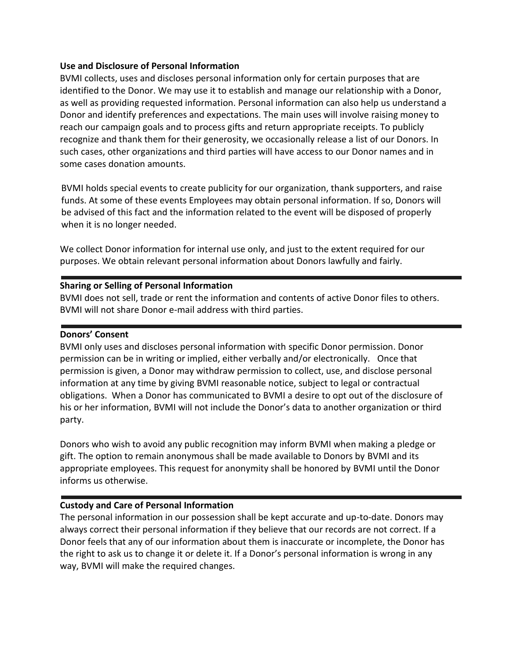#### **Use and Disclosure of Personal Information**

BVMI collects, uses and discloses personal information only for certain purposes that are identified to the Donor. We may use it to establish and manage our relationship with a Donor, as well as providing requested information. Personal information can also help us understand a Donor and identify preferences and expectations. The main uses will involve raising money to reach our campaign goals and to process gifts and return appropriate receipts. To publicly recognize and thank them for their generosity, we occasionally release a list of our Donors. In such cases, other organizations and third parties will have access to our Donor names and in some cases donation amounts.

BVMI holds special events to create publicity for our organization, thank supporters, and raise funds. At some of these events Employees may obtain personal information. If so, Donors will be advised of this fact and the information related to the event will be disposed of properly when it is no longer needed.

We collect Donor information for internal use only, and just to the extent required for our purposes. We obtain relevant personal information about Donors lawfully and fairly.

## **Sharing or Selling of Personal Information**

BVMI does not sell, trade or rent the information and contents of active Donor files to others. BVMI will not share Donor e-mail address with third parties.

#### **Donors' Consent**

BVMI only uses and discloses personal information with specific Donor permission. Donor permission can be in writing or implied, either verbally and/or electronically. Once that permission is given, a Donor may withdraw permission to collect, use, and disclose personal information at any time by giving BVMI reasonable notice, subject to legal or contractual obligations. When a Donor has communicated to BVMI a desire to opt out of the disclosure of his or her information, BVMI will not include the Donor's data to another organization or third party.

Donors who wish to avoid any public recognition may inform BVMI when making a pledge or gift. The option to remain anonymous shall be made available to Donors by BVMI and its appropriate employees. This request for anonymity shall be honored by BVMI until the Donor informs us otherwise.

## **Custody and Care of Personal Information**

The personal information in our possession shall be kept accurate and up-to-date. Donors may always correct their personal information if they believe that our records are not correct. If a Donor feels that any of our information about them is inaccurate or incomplete, the Donor has the right to ask us to change it or delete it. If a Donor's personal information is wrong in any way, BVMI will make the required changes.